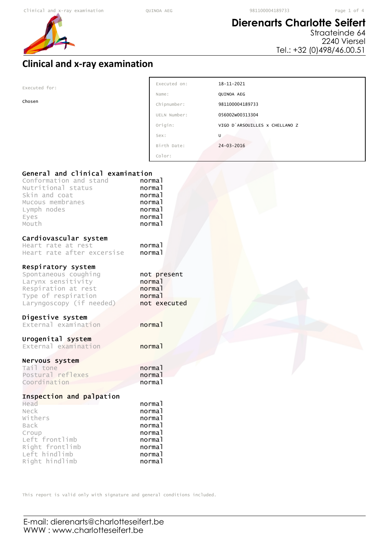

## **Dierenarts Charlotte Seifert**

Straateinde 64 2240 Viersel Tel.: +32 (0)498/46.00.51

## **Clinical and x-ray examination**

| Executed for:                                                                                                                                         | Executed on:                                                                           | 18-11-2021                     |
|-------------------------------------------------------------------------------------------------------------------------------------------------------|----------------------------------------------------------------------------------------|--------------------------------|
|                                                                                                                                                       | Name:                                                                                  | QUINOA AEG                     |
| Chosen                                                                                                                                                | Chipnumber:                                                                            | 981100004189733                |
|                                                                                                                                                       | UELN Number:                                                                           | 056002w00313304                |
|                                                                                                                                                       | Origin:                                                                                | VIGO D'ARSOUILLES X CHELLANO Z |
|                                                                                                                                                       | Sex:                                                                                   | U                              |
|                                                                                                                                                       | Birth Date:                                                                            | $24 - 03 - 2016$               |
|                                                                                                                                                       | Color:                                                                                 |                                |
| General and clinical examination<br>Conformation and stand<br>Nutritional status<br>Skin and coat<br>Mucous membranes<br>Lymph nodes<br>Eyes<br>Mouth | normal<br>normal<br>normal<br>normal<br>normal<br>normal<br>normal                     |                                |
| Cardiovascular system<br>Heart rate at rest<br>Heart rate after excersise                                                                             | normal<br>normal                                                                       |                                |
| Respiratory system<br>Spontaneous coughing<br>Larynx sensitivity<br>Respiration at rest<br>Type of respiration<br>Laryngoscopy (if needed)            | not present<br>normal<br>normal<br>normal<br>not executed                              |                                |
| Digestive system<br>External examination                                                                                                              | normal                                                                                 |                                |
| Urogenital system<br>External examination                                                                                                             | normal                                                                                 |                                |
| Nervous system<br>Tail tone<br>Postural reflexes<br>Coordination                                                                                      | normal<br>normal<br>normal                                                             |                                |
| Inspection and palpation<br>Head<br>Neck<br>Withers<br><b>Back</b><br>Croup<br>Left frontlimb<br>Right frontlimb<br>Left hindlimb<br>Right hindlimb   | normal<br>normal<br>normal<br>normal<br>normal<br>normal<br>normal<br>normal<br>normal |                                |

Executed on: 18-11-2021

This report is valid only with signature and general conditions included.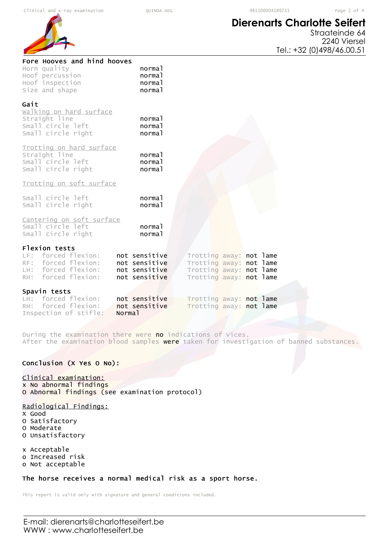Fore Hooves and hind hooves

Horn quality **normal** 

# **Dierenarts Charlotte Seifert**



| Hoof percussion<br>Hoof inspection<br>Size and shape                                                      | normal<br>normal<br>normal                                       |                                                                                                          |  |
|-----------------------------------------------------------------------------------------------------------|------------------------------------------------------------------|----------------------------------------------------------------------------------------------------------|--|
| Gait<br>walking on hard surface<br>Straight line<br>Small circle left<br>Small circle right               | normal<br>normal<br>normal                                       |                                                                                                          |  |
| Trotting on hard surface<br>Straight line<br>Small circle left<br>Small circle right                      | normal<br>normal<br>normal                                       |                                                                                                          |  |
| Trotting on soft surface                                                                                  |                                                                  |                                                                                                          |  |
| Small circle left<br>Small circle right                                                                   | normal<br>normal                                                 |                                                                                                          |  |
| Cantering on soft surface<br>Small circle left<br>Small circle right                                      | normal<br>normal                                                 |                                                                                                          |  |
| Flexion tests<br>LF: forced flexion:<br>RF: forced flexion:<br>LH: forced flexion:<br>RH: forced flexion: | not sensitive<br>not sensitive<br>not sensitive<br>not sensitive | Trotting away: not lame<br>Trotting away: not lame<br>Trotting away: not lame<br>Trotting away: not lame |  |
| Spavin tests<br>LH: forced flexion:<br>forced flexion:<br>$RH$ :<br>Inspection of stifle:                 | not sensitive<br>not sensitive<br>Normal                         | Trotting away: not lame<br>Trotting away: not lame                                                       |  |

During the examination there were no indications of vices. After the examination blood samples were taken for investigation of banned substances.

### Conclusion (X Yes O No):

#### Clinical examination:

x No abnormal findings O Abnormal findings (see examination protocol)

### Radiological Findings:

- X Good
- O Satisfactory
- O Moderate
- O Unsatisfactory

x Acceptable o Increased risk

o Not acceptable

#### The horse receives a normal medical risk as a sport horse.

This report is valid only with signature and general conditions included.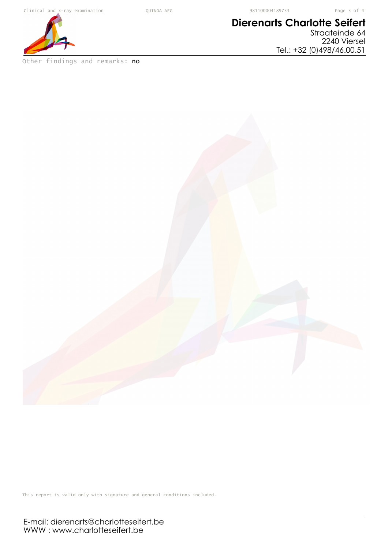# **Dierenarts Charlotte Seifert**

Straateinde 64 2240 Viersel Tel.: +32 (0)498/46.00.51



Other findings and remarks: no

E-mail: dierenarts@charlotteseifert.be This report is valid only with signature and general conditions included.